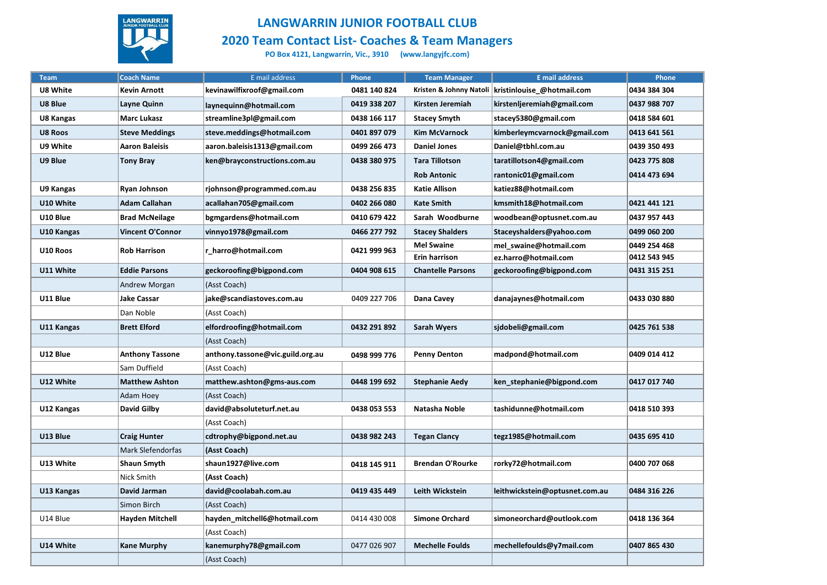

## **LANGWARRIN JUNIOR FOOTBALL CLUB**

**2020 Team Contact List- Coaches & Team Managers**

**PO Box 4121, Langwarrin, Vic., 3910 (www.langyjfc.com)**

| <b>Team</b> | <b>Coach Name</b>      | E mail address                   | Phone        | <b>Team Manager</b>      | <b>E</b> mail address          | Phone        |
|-------------|------------------------|----------------------------------|--------------|--------------------------|--------------------------------|--------------|
| U8 White    | <b>Kevin Arnott</b>    | kevinawilfixroof@gmail.com       | 0481 140 824 | Kristen & Johnny Natoli  | kristinlouise @hotmail.com     | 0434 384 304 |
| U8 Blue     | Layne Quinn            | laynequinn@hotmail.com           | 0419 338 207 | Kirsten Jeremiah         | kirstenljeremiah@gmail.com     | 0437 988 707 |
| U8 Kangas   | <b>Marc Lukasz</b>     | streamline3pl@gmail.com          | 0438 166 117 | <b>Stacey Smyth</b>      | stacey5380@gmail.com           | 0418 584 601 |
| U8 Roos     | <b>Steve Meddings</b>  | steve.meddings@hotmail.com       | 0401 897 079 | <b>Kim McVarnock</b>     | kimberleymcvarnock@gmail.com   | 0413 641 561 |
| U9 White    | <b>Aaron Baleisis</b>  | aaron.baleisis1313@gmail.com     | 0499 266 473 | <b>Daniel Jones</b>      | Daniel@tbhl.com.au             | 0439 350 493 |
| U9 Blue     | <b>Tony Bray</b>       | ken@brayconstructions.com.au     | 0438 380 975 | <b>Tara Tillotson</b>    | taratillotson4@gmail.com       | 0423 775 808 |
|             |                        |                                  |              | <b>Rob Antonic</b>       | rantonic01@gmail.com           | 0414 473 694 |
| U9 Kangas   | Ryan Johnson           | rjohnson@programmed.com.au       | 0438 256 835 | <b>Katie Allison</b>     | katiez88@hotmail.com           |              |
| U10 White   | Adam Callahan          | acallahan705@gmail.com           | 0402 266 080 | Kate Smith               | kmsmith18@hotmail.com          | 0421 441 121 |
| U10 Blue    | <b>Brad McNeilage</b>  | bgmgardens@hotmail.com           | 0410 679 422 | Sarah Woodburne          | woodbean@optusnet.com.au       | 0437 957 443 |
| U10 Kangas  | Vincent O'Connor       | vinnyo1978@gmail.com             | 0466 277 792 | <b>Stacey Shalders</b>   | Staceyshalders@yahoo.com       | 0499 060 200 |
| U10 Roos    | <b>Rob Harrison</b>    | r harro@hotmail.com              | 0421 999 963 | <b>Mel Swaine</b>        | mel swaine@hotmail.com         | 0449 254 468 |
|             |                        |                                  |              | Erin harrison            | ez.harro@hotmail.com           | 0412 543 945 |
| U11 White   | <b>Eddie Parsons</b>   | geckoroofing@bigpond.com         | 0404 908 615 | <b>Chantelle Parsons</b> | geckoroofing@bigpond.com       | 0431 315 251 |
|             | Andrew Morgan          | (Asst Coach)                     |              |                          |                                |              |
| U11 Blue    | Jake Cassar            | jake@scandiastoves.com.au        | 0409 227 706 | Dana Cavey               | danajaynes@hotmail.com         | 0433 030 880 |
|             | Dan Noble              | (Asst Coach)                     |              |                          |                                |              |
| U11 Kangas  | <b>Brett Elford</b>    | elfordroofing@hotmail.com        | 0432 291 892 | <b>Sarah Wyers</b>       | sjdobeli@gmail.com             | 0425 761 538 |
|             |                        | (Asst Coach)                     |              |                          |                                |              |
| U12 Blue    | <b>Anthony Tassone</b> | anthony.tassone@vic.guild.org.au | 0498 999 776 | <b>Penny Denton</b>      | madpond@hotmail.com            | 0409 014 412 |
|             | Sam Duffield           | (Asst Coach)                     |              |                          |                                |              |
| U12 White   | <b>Matthew Ashton</b>  | matthew.ashton@gms-aus.com       | 0448 199 692 | <b>Stephanie Aedy</b>    | ken stephanie@bigpond.com      | 0417 017 740 |
|             | Adam Hoey              | (Asst Coach)                     |              |                          |                                |              |
| U12 Kangas  | David Gilby            | david@absoluteturf.net.au        | 0438 053 553 | Natasha Noble            | tashidunne@hotmail.com         | 0418 510 393 |
|             |                        | (Asst Coach)                     |              |                          |                                |              |
| U13 Blue    | <b>Craig Hunter</b>    | cdtrophy@bigpond.net.au          | 0438 982 243 | <b>Tegan Clancy</b>      | tegz1985@hotmail.com           | 0435 695 410 |
|             | Mark Slefendorfas      | (Asst Coach)                     |              |                          |                                |              |
| U13 White   | <b>Shaun Smyth</b>     | shaun1927@live.com               | 0418 145 911 | <b>Brendan O'Rourke</b>  | rorky72@hotmail.com            | 0400 707 068 |
|             | Nick Smith             | (Asst Coach)                     |              |                          |                                |              |
| U13 Kangas  | David Jarman           | david@coolabah.com.au            | 0419 435 449 | Leith Wickstein          | leithwickstein@optusnet.com.au | 0484 316 226 |
|             | Simon Birch            | (Asst Coach)                     |              |                          |                                |              |
| U14 Blue    | <b>Hayden Mitchell</b> | hayden mitchell6@hotmail.com     | 0414 430 008 | <b>Simone Orchard</b>    | simoneorchard@outlook.com      | 0418 136 364 |
|             |                        | (Asst Coach)                     |              |                          |                                |              |
| U14 White   | Kane Murphy            | kanemurphy78@gmail.com           | 0477 026 907 | <b>Mechelle Foulds</b>   | mechellefoulds@y7mail.com      | 0407 865 430 |
|             |                        | (Asst Coach)                     |              |                          |                                |              |